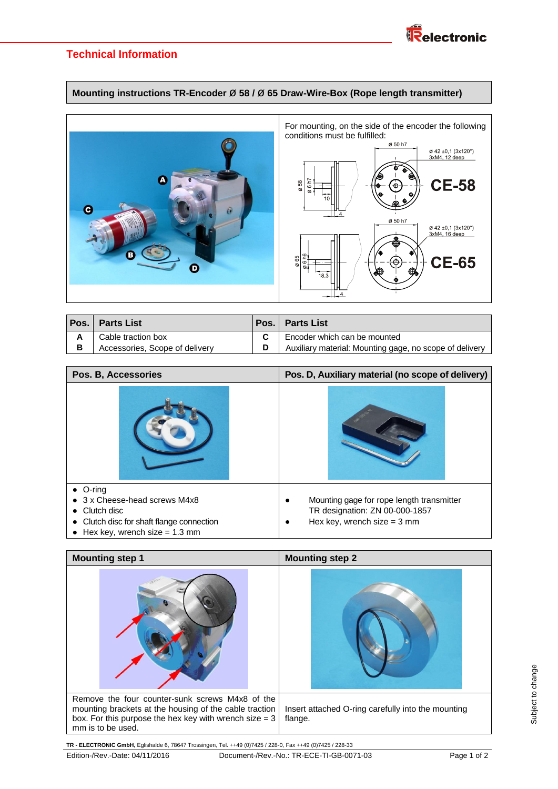

# **Technical Information**

## **Mounting instructions TR-Encoder** ø **58 /** ø **65 Draw-Wire-Box (Rope length transmitter)**



|   | <b>Pos. Parts List</b>         | Pos. | <b>Parts List</b>                                       |
|---|--------------------------------|------|---------------------------------------------------------|
|   | Cable traction box             |      | Encoder which can be mounted                            |
| в | Accessories, Scope of delivery |      | Auxiliary material: Mounting gage, no scope of delivery |

| Pos. B, Accessories                                                                                                                                          | Pos. D, Auxiliary material (no scope of delivery)                                                                    |
|--------------------------------------------------------------------------------------------------------------------------------------------------------------|----------------------------------------------------------------------------------------------------------------------|
|                                                                                                                                                              |                                                                                                                      |
| O-ring<br>3 x Cheese-head screws M4x8<br>Clutch disc<br>Clutch disc for shaft flange connection<br>$\bullet$<br>Hex key, wrench size $= 1.3$ mm<br>$\bullet$ | Mounting gage for rope length transmitter<br>TR designation: ZN 00-000-1857<br>Hex key, wrench size = $3 \text{ mm}$ |